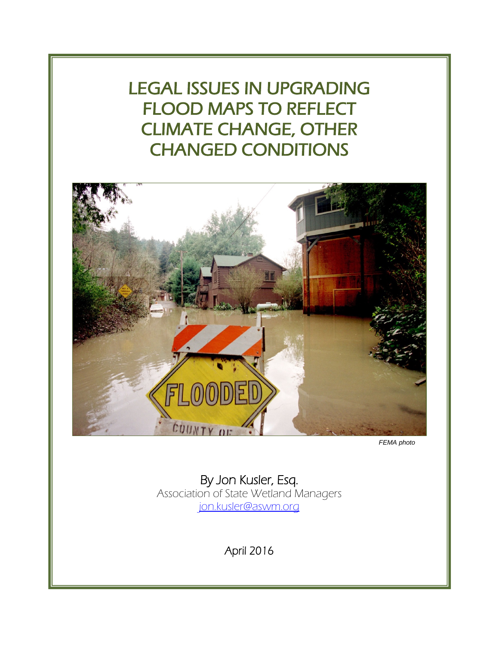LEGAL ISSUES IN UPGRADING FLOOD MAPS TO REFLECT CLIMATE CHANGE, OTHER CHANGED CONDITIONS



*FEMA photo*

<span id="page-0-0"></span>By Jon Kusler, Esq. Association of State Wetland Managers [jon.kusler@aswm.org](mailto:jon.kusler@aswm.org)

April 2016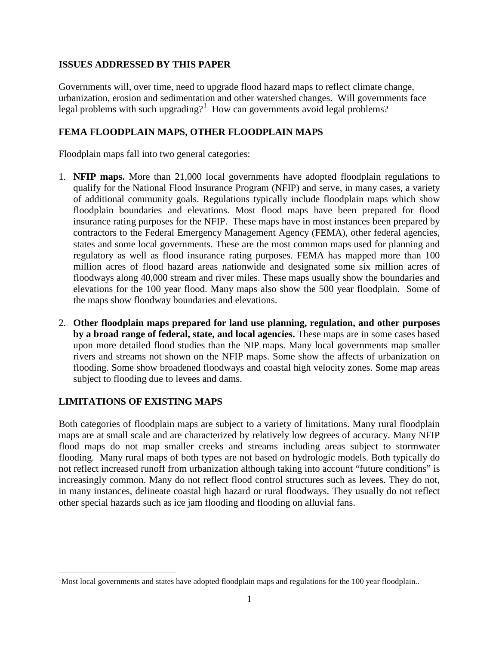#### **ISSUES ADDRESSED BY THIS PAPER**

Governments will, over time, need to upgrade flood hazard maps to reflect climate change, urbanization, erosion and sedimentation and other watershed changes. Will governments face legal problems with such upgrading?<sup>[1](#page-0-0)</sup> How can governments avoid legal problems?

## **FEMA FLOODPLAIN MAPS, OTHER FLOODPLAIN MAPS**

Floodplain maps fall into two general categories:

- 1. **NFIP maps.** More than 21,000 local governments have adopted floodplain regulations to qualify for the National Flood Insurance Program (NFIP) and serve, in many cases, a variety of additional community goals. Regulations typically include floodplain maps which show floodplain boundaries and elevations. Most flood maps have been prepared for flood insurance rating purposes for the NFIP. These maps have in most instances been prepared by contractors to the Federal Emergency Management Agency (FEMA), other federal agencies, states and some local governments. These are the most common maps used for planning and regulatory as well as flood insurance rating purposes. FEMA has mapped more than 100 million acres of flood hazard areas nationwide and designated some six million acres of floodways along 40,000 stream and river miles. These maps usually show the boundaries and elevations for the 100 year flood. Many maps also show the 500 year floodplain. Some of the maps show floodway boundaries and elevations.
- 2. **Other floodplain maps prepared for land use planning, regulation, and other purposes by a broad range of federal, state, and local agencies.** These maps are in some cases based upon more detailed flood studies than the NIP maps. Many local governments map smaller rivers and streams not shown on the NFIP maps. Some show the affects of urbanization on flooding. Some show broadened floodways and coastal high velocity zones. Some map areas subject to flooding due to levees and dams.

## **LIMITATIONS OF EXISTING MAPS**

Both categories of floodplain maps are subject to a variety of limitations. Many rural floodplain maps are at small scale and are characterized by relatively low degrees of accuracy. Many NFIP flood maps do not map smaller creeks and streams including areas subject to stormwater flooding. Many rural maps of both types are not based on hydrologic models. Both typically do not reflect increased runoff from urbanization although taking into account "future conditions" is increasingly common. Many do not reflect flood control structures such as levees. They do not, in many instances, delineate coastal high hazard or rural floodways. They usually do not reflect other special hazards such as ice jam flooding and flooding on alluvial fans.

<span id="page-1-0"></span> $\frac{1}{1}$  $M<sup>1</sup>$ Most local governments and states have adopted floodplain maps and regulations for the 100 year floodplain..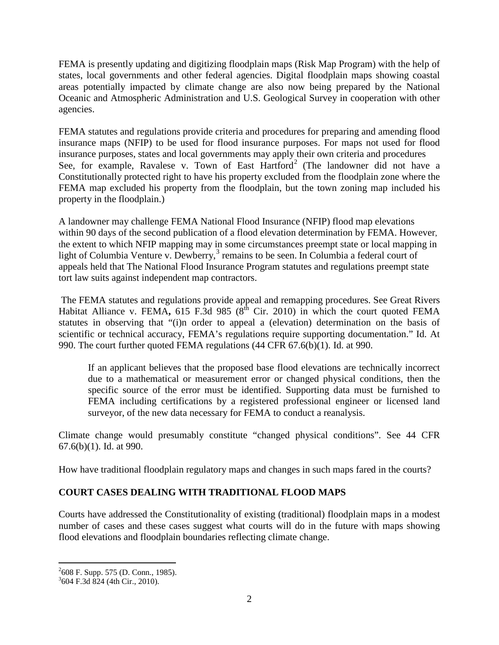FEMA is presently updating and digitizing floodplain maps (Risk Map Program) with the help of states, local governments and other federal agencies. Digital floodplain maps showing coastal areas potentially impacted by climate change are also now being prepared by the National Oceanic and Atmospheric Administration and U.S. Geological Survey in cooperation with other agencies.

FEMA statutes and regulations provide criteria and procedures for preparing and amending flood insurance maps (NFIP) to be used for flood insurance purposes. For maps not used for flood insurance purposes, states and local governments may apply their own criteria and procedures See, for example, Ravalese v. Town of East Hartford<sup>[2](#page-1-0)</sup> (The landowner did not have a Constitutionally protected right to have his property excluded from the floodplain zone where the FEMA map excluded his property from the floodplain, but the town zoning map included his property in the floodplain.)

A landowner may challenge FEMA National Flood Insurance (NFIP) flood map elevations within 90 days of the second publication of a flood elevation determination by FEMA. However, the extent to which NFIP mapping may in some circumstances preempt state or local mapping in light of Columbia Venture v. Dewberry, $3$  remains to be seen. In Columbia a federal court of appeals held that The National Flood Insurance Program statutes and regulations preempt state tort law suits against independent map contractors.

The FEMA statutes and regulations provide appeal and remapping procedures. See Great Rivers Habitat Alliance v. FEMA,  $615$  F.3d 985 ( $8^{th}$  Cir. 2010) in which the court quoted FEMA statutes in observing that "(i)n order to appeal a (elevation) determination on the basis of scientific or technical accuracy, FEMA's regulations require supporting documentation." Id. At 990. The court further quoted FEMA regulations (44 CFR 67.6(b)(1). Id. at 990.

If an applicant believes that the proposed base flood elevations are technically incorrect due to a mathematical or measurement error or changed physical conditions, then the specific source of the error must be identified. Supporting data must be furnished to FEMA including certifications by a registered professional engineer or licensed land surveyor, of the new data necessary for FEMA to conduct a reanalysis.

Climate change would presumably constitute "changed physical conditions". See 44 CFR 67.6(b)(1). Id. at 990.

How have traditional floodplain regulatory maps and changes in such maps fared in the courts?

# **COURT CASES DEALING WITH TRADITIONAL FLOOD MAPS**

<span id="page-2-1"></span>Courts have addressed the Constitutionality of existing (traditional) floodplain maps in a modest number of cases and these cases suggest what courts will do in the future with maps showing flood elevations and floodplain boundaries reflecting climate change.

 $\frac{1}{2}$  $^{2}608$  F. Supp. 575 (D. Conn., 1985).

<span id="page-2-0"></span> $3604$  F.3d 824 (4th Cir., 2010).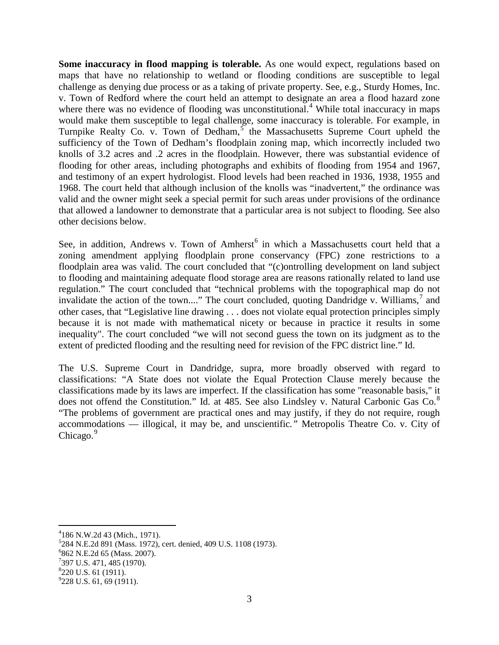**Some inaccuracy in flood mapping is tolerable.** As one would expect, regulations based on maps that have no relationship to wetland or flooding conditions are susceptible to legal challenge as denying due process or as a taking of private property. See, e.g., Sturdy Homes, Inc. v. Town of Redford where the court held an attempt to designate an area a flood hazard zone where there was no evidence of flooding was unconstitutional.<sup>[4](#page-2-1)</sup> While total inaccuracy in maps would make them susceptible to legal challenge, some inaccuracy is tolerable. For example, in Turnpike Realty Co. v. Town of Dedham,<sup>[5](#page-3-0)</sup> the Massachusetts Supreme Court upheld the sufficiency of the Town of Dedham's floodplain zoning map, which incorrectly included two knolls of 3.2 acres and .2 acres in the floodplain. However, there was substantial evidence of flooding for other areas, including photographs and exhibits of flooding from 1954 and 1967, and testimony of an expert hydrologist. Flood levels had been reached in 1936, 1938, 1955 and 1968. The court held that although inclusion of the knolls was "inadvertent," the ordinance was valid and the owner might seek a special permit for such areas under provisions of the ordinance that allowed a landowner to demonstrate that a particular area is not subject to flooding. See also other decisions below.

See, in addition, Andrews v. Town of Amherst<sup>[6](#page-3-1)</sup> in which a Massachusetts court held that a zoning amendment applying floodplain prone conservancy (FPC) zone restrictions to a floodplain area was valid. The court concluded that "(c)ontrolling development on land subject to flooding and maintaining adequate flood storage area are reasons rationally related to land use regulation." The court concluded that "technical problems with the topographical map do not invalidate the action of the town...." The court concluded, quoting Dandridge v. Williams,<sup>[7](#page-3-2)</sup> and other cases, that "Legislative line drawing . . . does not violate equal protection principles simply because it is not made with mathematical nicety or because in practice it results in some inequality". The court concluded "we will not second guess the town on its judgment as to the extent of predicted flooding and the resulting need for revision of the FPC district line." Id.

The U.S. Supreme Court in Dandridge, supra, more broadly observed with regard to classifications: "A State does not violate the Equal Protection Clause merely because the classifications made by its laws are imperfect. If the classification has some "reasonable basis," it does not offend the Constitution." Id. at 4[8](#page-3-3)5. See also Lindsley v. Natural Carbonic Gas Co.<sup>8</sup> "The problems of government are practical ones and may justify, if they do not require, rough accommodations — illogical, it may be, and unscientific*."* Metropolis Theatre Co. v. City of Chicago.<sup>[9](#page-3-4)</sup>

<span id="page-3-5"></span> $\frac{1}{4}$  $4186$  N.W.2d 43 (Mich., 1971).

<span id="page-3-0"></span> ${}^{5}$ 284 N.E.2d 891 (Mass. 1972), cert. denied, 409 U.S. 1108 (1973).

<span id="page-3-1"></span><sup>&</sup>lt;sup>6</sup>862 N.E.2d 65 (Mass. 2007).

<span id="page-3-2"></span> $7397$  U.S. 471, 485 (1970).

<span id="page-3-3"></span><sup>&</sup>lt;sup>8</sup>220 U.S. 61 (1911).

<span id="page-3-4"></span><sup>&</sup>lt;sup>9</sup>228 U.S. 61, 69 (1911).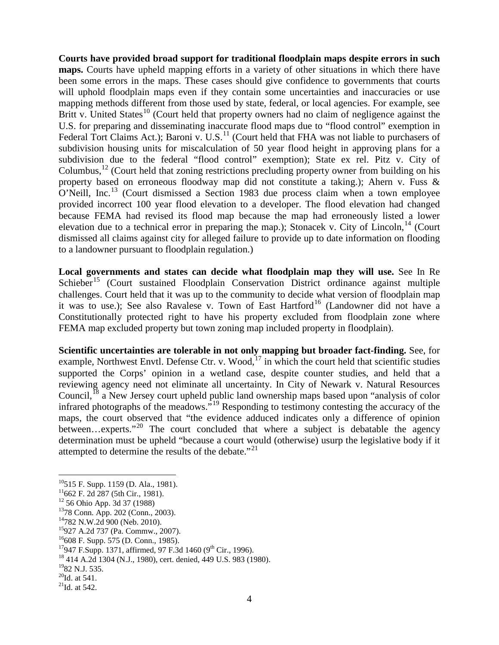**Courts have provided broad support for traditional floodplain maps despite errors in such maps.** Courts have upheld mapping efforts in a variety of other situations in which there have been some errors in the maps. These cases should give confidence to governments that courts will uphold floodplain maps even if they contain some uncertainties and inaccuracies or use mapping methods different from those used by state, federal, or local agencies. For example, see Britt v. United States<sup>[10](#page-3-5)</sup> (Court held that property owners had no claim of negligence against the U.S. for preparing and disseminating inaccurate flood maps due to "flood control" exemption in Federal Tort Claims Act.); Baroni v. U.S.<sup>[11](#page-4-0)</sup> (Court held that FHA was not liable to purchasers of subdivision housing units for miscalculation of 50 year flood height in approving plans for a subdivision due to the federal "flood control" exemption); State ex rel. Pitz v. City of Columbus,<sup>[12](#page-4-1)</sup> (Court held that zoning restrictions precluding property owner from building on his property based on erroneous floodway map did not constitute a taking.); Ahern v. Fuss & O'Neill, Inc.[13](#page-4-2) (Court dismissed a Section 1983 due process claim when a town employee provided incorrect 100 year flood elevation to a developer. The flood elevation had changed because FEMA had revised its flood map because the map had erroneously listed a lower elevation due to a technical error in preparing the map.); Stonacek v. City of Lincoln, <sup>[14](#page-4-3)</sup> (Court dismissed all claims against city for alleged failure to provide up to date information on flooding to a landowner pursuant to floodplain regulation.)

**Local governments and states can decide what floodplain map they will use.** See In Re  $S$ chieber<sup>[15](#page-4-4)</sup> (Court sustained Floodplain Conservation District ordinance against multiple challenges. Court held that it was up to the community to decide what version of floodplain map it was to use.); See also Ravalese v. Town of East Hartford<sup>[16](#page-4-5)</sup> (Landowner did not have a Constitutionally protected right to have his property excluded from floodplain zone where FEMA map excluded property but town zoning map included property in floodplain).

**Scientific uncertainties are tolerable in not only mapping but broader fact-finding.** See, for example, Northwest Envtl. Defense Ctr. v. Wood, $17$  in which the court held that scientific studies supported the Corps' opinion in a wetland case, despite counter studies, and held that a reviewing agency need not eliminate all uncertainty. In City of Newark v. Natural Resources Council,<sup>[18](#page-4-7)</sup> a New Jersey court upheld public land ownership maps based upon "analysis of color" infrared photographs of the meadows."[19](#page-4-8) Responding to testimony contesting the accuracy of the maps, the court observed that "the evidence adduced indicates only a difference of opinion between...experts."<sup>[20](#page-4-9)</sup> The court concluded that where a subject is debatable the agency determination must be upheld "because a court would (otherwise) usurp the legislative body if it attempted to determine the results of the debate. $1<sup>21</sup>$  $1<sup>21</sup>$  $1<sup>21</sup>$ 

<sup>&</sup>lt;sup>10</sup>515 F. Supp. 1159 (D. Ala., 1981).<br><sup>11</sup>662 F. 2d 287 (5th Cir., 1981).<br><sup>12</sup> 56 Ohio App. 3d 37 (1988)

<span id="page-4-0"></span>

<span id="page-4-5"></span><span id="page-4-4"></span>

<span id="page-4-11"></span>

<span id="page-4-7"></span><span id="page-4-6"></span>

<span id="page-4-3"></span><span id="page-4-2"></span><span id="page-4-1"></span><sup>&</sup>lt;sup>13</sup>78 Conn. App. 202 (Conn., 2003).<br><sup>14</sup>782 N.W.2d 900 (Neb. 2010).<br><sup>15</sup>927 A.2d 737 (Pa. Commw., 2007).<br><sup>16</sup>608 F. Supp. 575 (D. Conn., 1985).<br><sup>17</sup>947 F.Supp. 1371, affirmed, 97 F.3d 1460 (9<sup>th</sup> Cir., 1996).<br><sup>18</sup>414 A.2

<span id="page-4-8"></span>

<span id="page-4-9"></span>

<span id="page-4-10"></span> $^{21}$ Id. at 542.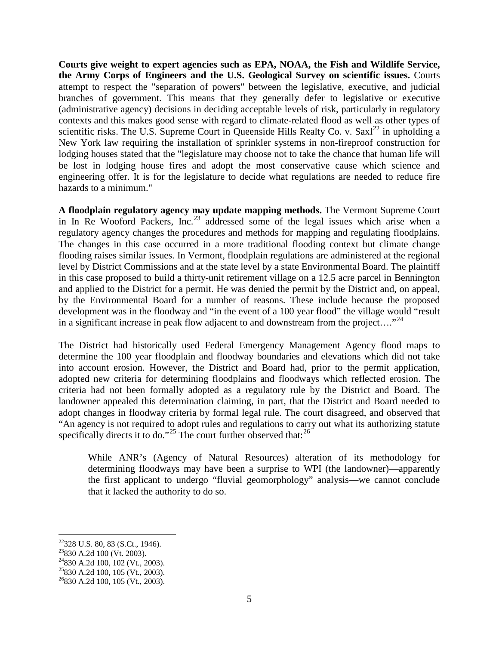**Courts give weight to expert agencies such as EPA, NOAA, the Fish and Wildlife Service, the Army Corps of Engineers and the U.S. Geological Survey on scientific issues.** Courts attempt to respect the "separation of powers" between the legislative, executive, and judicial branches of government. This means that they generally defer to legislative or executive (administrative agency) decisions in deciding acceptable levels of risk, particularly in regulatory contexts and this makes good sense with regard to climate-related flood as well as other types of scientific risks. The U.S. Supreme Court in Queenside Hills Realty Co. v. Saxl<sup>[22](#page-4-11)</sup> in upholding a New York law requiring the installation of sprinkler systems in non-fireproof construction for lodging houses stated that the "legislature may choose not to take the chance that human life will be lost in lodging house fires and adopt the most conservative cause which science and engineering offer. It is for the legislature to decide what regulations are needed to reduce fire hazards to a minimum."

**A floodplain regulatory agency may update mapping methods.** The Vermont Supreme Court in In Re Wooford Packers, Inc.[23](#page-5-0) addressed some of the legal issues which arise when a regulatory agency changes the procedures and methods for mapping and regulating floodplains. The changes in this case occurred in a more traditional flooding context but climate change flooding raises similar issues. In Vermont, floodplain regulations are administered at the regional level by District Commissions and at the state level by a state Environmental Board. The plaintiff in this case proposed to build a thirty-unit retirement village on a 12.5 acre parcel in Bennington and applied to the District for a permit. He was denied the permit by the District and, on appeal, by the Environmental Board for a number of reasons. These include because the proposed development was in the floodway and "in the event of a 100 year flood" the village would "result in a significant increase in peak flow adjacent to and downstream from the project...."<sup>[24](#page-5-1)</sup>

The District had historically used Federal Emergency Management Agency flood maps to determine the 100 year floodplain and floodway boundaries and elevations which did not take into account erosion. However, the District and Board had, prior to the permit application, adopted new criteria for determining floodplains and floodways which reflected erosion. The criteria had not been formally adopted as a regulatory rule by the District and Board. The landowner appealed this determination claiming, in part, that the District and Board needed to adopt changes in floodway criteria by formal legal rule. The court disagreed, and observed that "An agency is not required to adopt rules and regulations to carry out what its authorizing statute specifically directs it to do."<sup>[25](#page-5-2)</sup> The court further observed that:<sup>[26](#page-5-3)</sup>

While ANR's (Agency of Natural Resources) alteration of its methodology for determining floodways may have been a surprise to WPI (the landowner)—apparently the first applicant to undergo "fluvial geomorphology" analysis—we cannot conclude that it lacked the authority to do so.

<span id="page-5-4"></span><sup>&</sup>lt;sup>22</sup>328 U.S. 80, 83 (S.Ct., 1946).<br><sup>23</sup>830 A.2d 100 (Vt. 2003).<br><sup>24</sup>830 A.2d 100, 102 (Vt., 2003).<br><sup>25</sup>830 A.2d 100, 105 (Vt., 2003).

<span id="page-5-0"></span>

<span id="page-5-1"></span>

<span id="page-5-2"></span>

<span id="page-5-3"></span> $26830$  A.2d 100, 105 (Vt., 2003).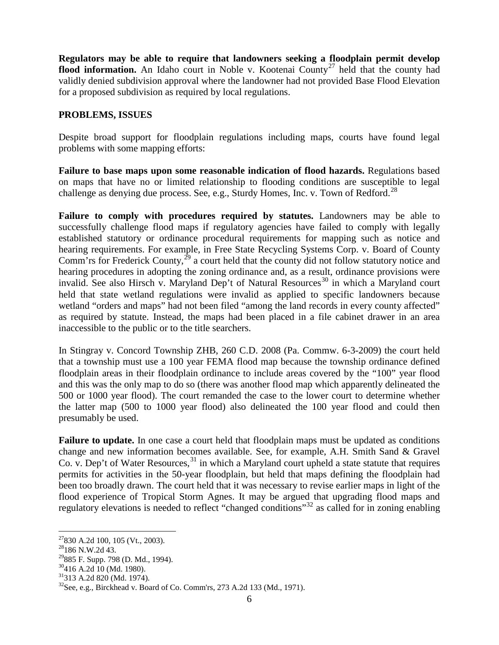**Regulators may be able to require that landowners seeking a floodplain permit develop flood information.** An Idaho court in Noble v. Kootenai County<sup>[27](#page-5-4)</sup> held that the county had validly denied subdivision approval where the landowner had not provided Base Flood Elevation for a proposed subdivision as required by local regulations.

## **PROBLEMS, ISSUES**

Despite broad support for floodplain regulations including maps, courts have found legal problems with some mapping efforts:

**Failure to base maps upon some reasonable indication of flood hazards.** Regulations based on maps that have no or limited relationship to flooding conditions are susceptible to legal challenge as denying due process. See, e.g., Sturdy Homes, Inc. v. Town of Redford.<sup>[28](#page-6-0)</sup>

**Failure to comply with procedures required by statutes.** Landowners may be able to successfully challenge flood maps if regulatory agencies have failed to comply with legally established statutory or ordinance procedural requirements for mapping such as notice and hearing requirements. For example, in Free State Recycling Systems Corp. v. Board of County Comm'rs for Frederick County, $^{29}$  $^{29}$  $^{29}$  a court held that the county did not follow statutory notice and hearing procedures in adopting the zoning ordinance and, as a result, ordinance provisions were invalid. See also Hirsch v. Maryland Dep't of Natural Resources<sup>[30](#page-6-2)</sup> in which a Maryland court held that state wetland regulations were invalid as applied to specific landowners because wetland "orders and maps" had not been filed "among the land records in every county affected" as required by statute. Instead, the maps had been placed in a file cabinet drawer in an area inaccessible to the public or to the title searchers.

In Stingray v. Concord Township ZHB, 260 C.D. 2008 (Pa. Commw. 6-3-2009) the court held that a township must use a 100 year FEMA flood map because the township ordinance defined floodplain areas in their floodplain ordinance to include areas covered by the "100" year flood and this was the only map to do so (there was another flood map which apparently delineated the 500 or 1000 year flood). The court remanded the case to the lower court to determine whether the latter map (500 to 1000 year flood) also delineated the 100 year flood and could then presumably be used.

**Failure to update.** In one case a court held that floodplain maps must be updated as conditions change and new information becomes available. See, for example, A.H. Smith Sand & Gravel Co. v. Dep't of Water Resources,  $31$  in which a Maryland court upheld a state statute that requires permits for activities in the 50-year floodplain, but held that maps defining the floodplain had been too broadly drawn. The court held that it was necessary to revise earlier maps in light of the flood experience of Tropical Storm Agnes. It may be argued that upgrading flood maps and regulatory elevations is needed to reflect "changed conditions"<sup>[32](#page-6-4)</sup> as called for in zoning enabling

<span id="page-6-5"></span> $^{27}$ 830 A.2d 100, 105 (Vt., 2003).<br> $^{28}$ 186 N.W.2d 43.

<span id="page-6-2"></span>

<span id="page-6-4"></span><span id="page-6-3"></span>

<span id="page-6-1"></span><span id="page-6-0"></span><sup>&</sup>lt;sup>29</sup>885 F. Supp. 798 (D. Md., 1994).<br><sup>30</sup>416 A.2d 10 (Md. 1980).<br><sup>31</sup>313 A.2d 820 (Md. 1974).<br><sup>32</sup>See, e.g., Birckhead v. Board of Co. Comm'rs, 273 A.2d 133 (Md., 1971).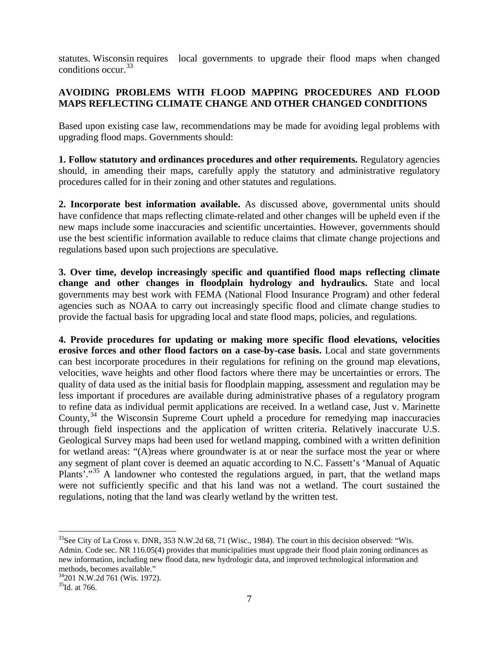statutes. Wisconsin requires local governments to upgrade their flood maps when changed conditions occur.<sup>[33](#page-6-5)</sup>

## **AVOIDING PROBLEMS WITH FLOOD MAPPING PROCEDURES AND FLOOD MAPS REFLECTING CLIMATE CHANGE AND OTHER CHANGED CONDITIONS**

Based upon existing case law, recommendations may be made for avoiding legal problems with upgrading flood maps. Governments should:

**1. Follow statutory and ordinances procedures and other requirements.** Regulatory agencies should, in amending their maps, carefully apply the statutory and administrative regulatory procedures called for in their zoning and other statutes and regulations.

**2. Incorporate best information available.** As discussed above, governmental units should have confidence that maps reflecting climate-related and other changes will be upheld even if the new maps include some inaccuracies and scientific uncertainties. However, governments should use the best scientific information available to reduce claims that climate change projections and regulations based upon such projections are speculative.

**3. Over time, develop increasingly specific and quantified flood maps reflecting climate change and other changes in floodplain hydrology and hydraulics.** State and local governments may best work with FEMA (National Flood Insurance Program) and other federal agencies such as NOAA to carry out increasingly specific flood and climate change studies to provide the factual basis for upgrading local and state flood maps, policies, and regulations.

**4. Provide procedures for updating or making more specific flood elevations, velocities erosive forces and other flood factors on a case-by-case basis.** Local and state governments can best incorporate procedures in their regulations for refining on the ground map elevations, velocities, wave heights and other flood factors where there may be uncertainties or errors. The quality of data used as the initial basis for floodplain mapping, assessment and regulation may be less important if procedures are available during administrative phases of a regulatory program to refine data as individual permit applications are received. In a wetland case, Just v. Marinette County,  $34$  the Wisconsin Supreme Court upheld a procedure for remedying map inaccuracies through field inspections and the application of written criteria. Relatively inaccurate U.S. Geological Survey maps had been used for wetland mapping, combined with a written definition for wetland areas: "(A)reas where groundwater is at or near the surface most the year or where any segment of plant cover is deemed an aquatic according to N.C. Fassett's 'Manual of Aquatic Plants'."<sup>[35](#page-7-1)</sup> A landowner who contested the regulations argued, in part, that the wetland maps were not sufficiently specific and that his land was not a wetland. The court sustained the regulations, noting that the land was clearly wetland by the written test.

 $33$ See City of La Cross v. DNR, 353 N.W.2d 68, 71 (Wisc., 1984). The court in this decision observed: "Wis. Admin. Code sec. NR 116.05(4) provides that municipalities must upgrade their flood plain zoning ordinances as new information, including new flood data, new hydrologic data, and improved technological information and

<sup>&</sup>lt;sup>34</sup>201 N.W.2d 761 (Wis. 1972).

<span id="page-7-1"></span><span id="page-7-0"></span><sup>&</sup>lt;sup>35</sup>Id. at 766.